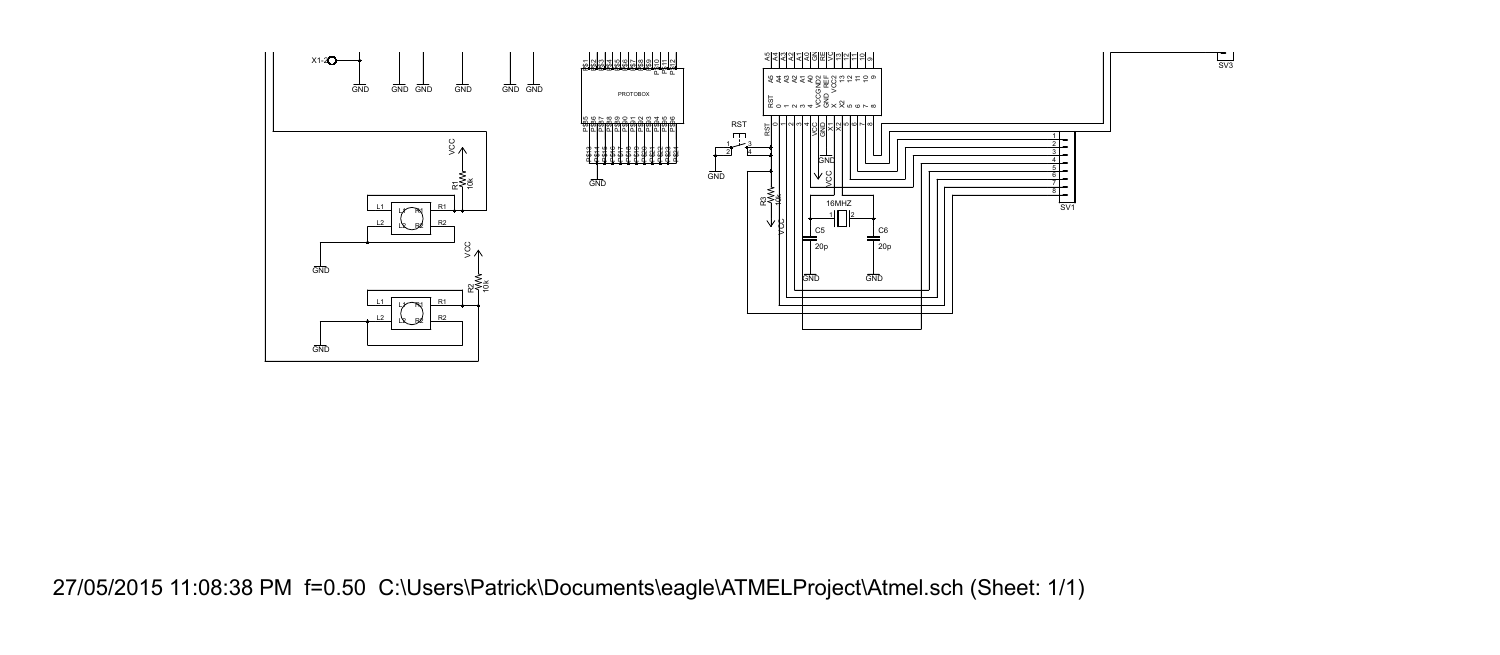

27/05/2015 11:08:38 PM f=0.50 C:\Users\Patrick\Documents\eagle\ATMELProject\Atmel.sch (Sheet: 1/1)